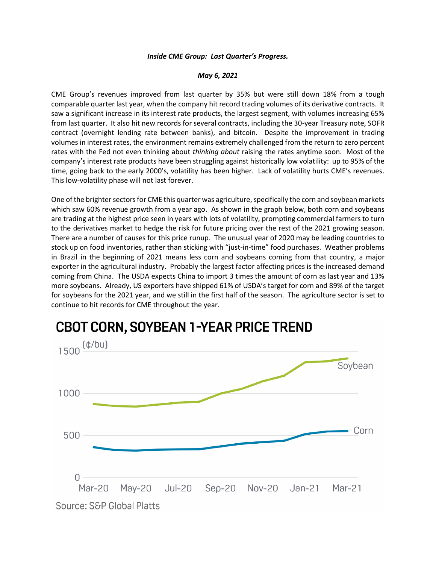## *Inside CME Group: Last Quarter's Progress.*

## *May 6, 2021*

CME Group's revenues improved from last quarter by 35% but were still down 18% from a tough comparable quarter last year, when the company hit record trading volumes of its derivative contracts. It saw a significant increase in its interest rate products, the largest segment, with volumes increasing 65% from last quarter. It also hit new records for several contracts, including the 30-year Treasury note, SOFR contract (overnight lending rate between banks), and bitcoin. Despite the improvement in trading volumes in interest rates, the environment remains extremely challenged from the return to zero percent rates with the Fed not even thinking about *thinking about* raising the rates anytime soon. Most of the company's interest rate products have been struggling against historically low volatility: up to 95% of the time, going back to the early 2000's, volatility has been higher. Lack of volatility hurts CME's revenues. This low-volatility phase will not last forever.

One of the brighter sectors for CME this quarter was agriculture, specifically the corn and soybean markets which saw 60% revenue growth from a year ago. As shown in the graph below, both corn and soybeans are trading at the highest price seen in years with lots of volatility, prompting commercial farmers to turn to the derivatives market to hedge the risk for future pricing over the rest of the 2021 growing season. There are a number of causes for this price runup. The unusual year of 2020 may be leading countries to stock up on food inventories, rather than sticking with "just-in-time" food purchases. Weather problems in Brazil in the beginning of 2021 means less corn and soybeans coming from that country, a major exporter in the agricultural industry. Probably the largest factor affecting prices is the increased demand coming from China. The USDA expects China to import 3 times the amount of corn as last year and 13% more soybeans. Already, US exporters have shipped 61% of USDA's target for corn and 89% of the target for soybeans for the 2021 year, and we still in the first half of the season. The agriculture sector is set to continue to hit records for CME throughout the year.